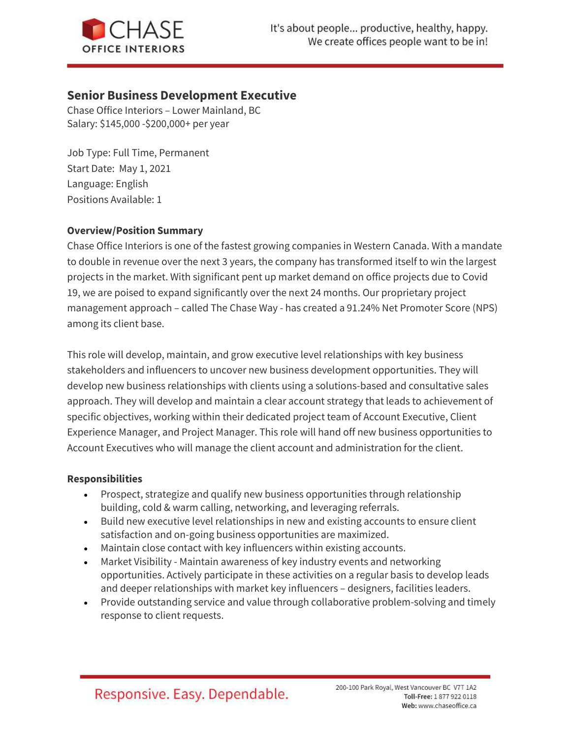

# Senior Business Development Executive

Chase Office Interiors – Lower Mainland, BC Salary: \$145,000 -\$200,000+ per year

Job Type: Full Time, Permanent Start Date: May 1, 2021 Language: English Positions Available: 1

# Overview/Position Summary

Chase Office Interiors is one of the fastest growing companies in Western Canada. With a mandate to double in revenue over the next 3 years, the company has transformed itself to win the largest projects in the market. With significant pent up market demand on office projects due to Covid 19, we are poised to expand significantly over the next 24 months. Our proprietary project management approach – called The Chase Way - has created a 91.24% Net Promoter Score (NPS) among its client base.

This role will develop, maintain, and grow executive level relationships with key business stakeholders and influencers to uncover new business development opportunities. They will develop new business relationships with clients using a solutions-based and consultative sales approach. They will develop and maintain a clear account strategy that leads to achievement of specific objectives, working within their dedicated project team of Account Executive, Client Experience Manager, and Project Manager. This role will hand off new business opportunities to Account Executives who will manage the client account and administration for the client.

## Responsibilities

- Prospect, strategize and qualify new business opportunities through relationship building, cold & warm calling, networking, and leveraging referrals.
- Build new executive level relationships in new and existing accounts to ensure client satisfaction and on-going business opportunities are maximized.
- Maintain close contact with key influencers within existing accounts.
- Market Visibility Maintain awareness of key industry events and networking opportunities. Actively participate in these activities on a regular basis to develop leads and deeper relationships with market key influencers – designers, facilities leaders.
- Provide outstanding service and value through collaborative problem-solving and timely response to client requests.